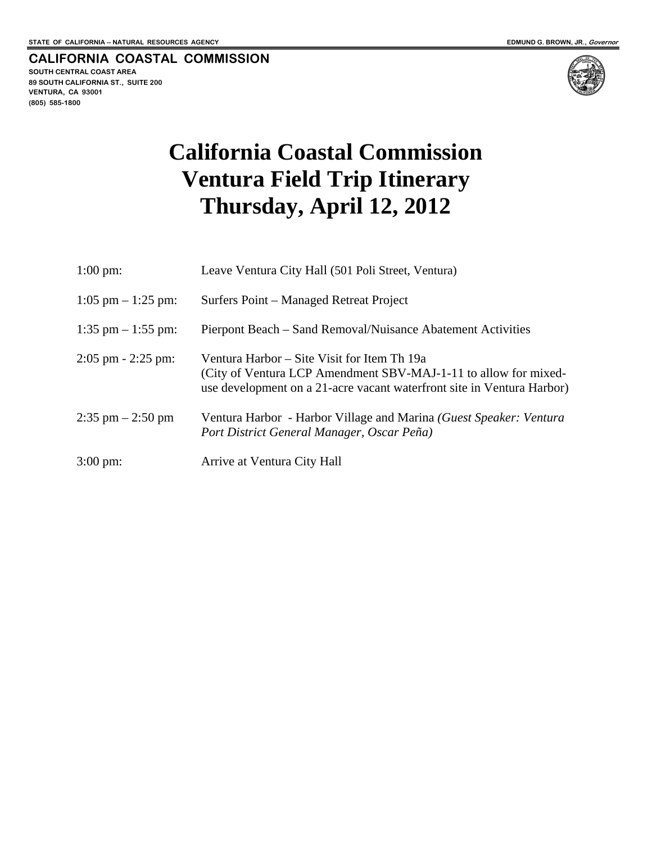**CALIFORNIA COASTAL COMMISSION SOUTH CENTRAL COAST AREA 89 SOUTH CALIFORNIA ST., SUITE 200 VENTURA, CA 93001 (805) 585-1800** 



## **California Coastal Commission Ventura Field Trip Itinerary Thursday, April 12, 2012**

| $1:00 \text{ pm}$ :   | Leave Ventura City Hall (501 Poli Street, Ventura)                                                                                                                                       |
|-----------------------|------------------------------------------------------------------------------------------------------------------------------------------------------------------------------------------|
| $1:05$ pm $-1:25$ pm: | Surfers Point – Managed Retreat Project                                                                                                                                                  |
| $1:35$ pm $-1:55$ pm: | Pierpont Beach – Sand Removal/Nuisance Abatement Activities                                                                                                                              |
| $2:05$ pm $-2:25$ pm: | Ventura Harbor – Site Visit for Item Th 19a<br>(City of Ventura LCP Amendment SBV-MAJ-1-11 to allow for mixed-<br>use development on a 21-acre vacant waterfront site in Ventura Harbor) |
| $2:35$ pm $-2:50$ pm  | Ventura Harbor - Harbor Village and Marina (Guest Speaker: Ventura<br>Port District General Manager, Oscar Peña)                                                                         |
| $3:00 \text{ pm}$ :   | Arrive at Ventura City Hall                                                                                                                                                              |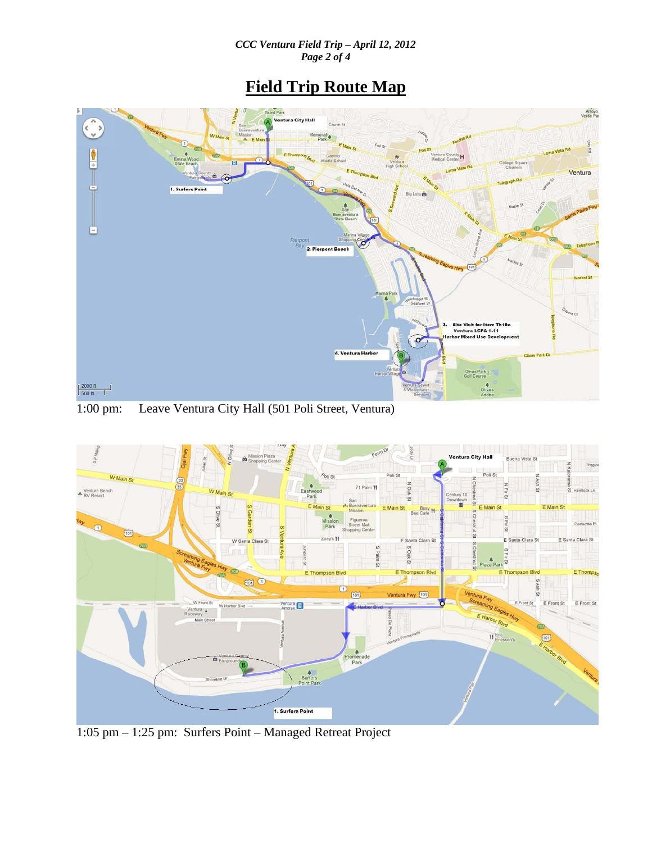## **Field Trip Route Map**



1:00 pm: Leave Ventura City Hall (501 Poli Street, Ventura)



1:05 pm – 1:25 pm: Surfers Point – Managed Retreat Project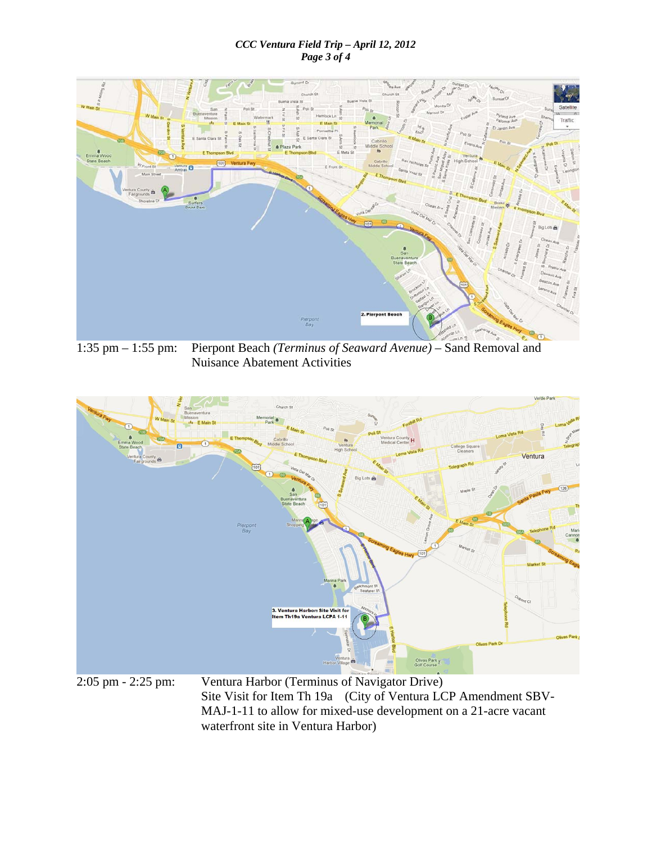## *CCC Ventura Field Trip – April 12, 2012 Page 3 of 4*



1:35 pm – 1:55 pm: Pierpont Beach *(Terminus of Seaward Avenue)* – Sand Removal and Nuisance Abatement Activities



2:05 pm - 2:25 pm: Ventura Harbor (Terminus of Navigator Drive) Site Visit for Item Th 19a (City of Ventura LCP Amendment SBV-MAJ-1-11 to allow for mixed-use development on a 21-acre vacant waterfront site in Ventura Harbor)